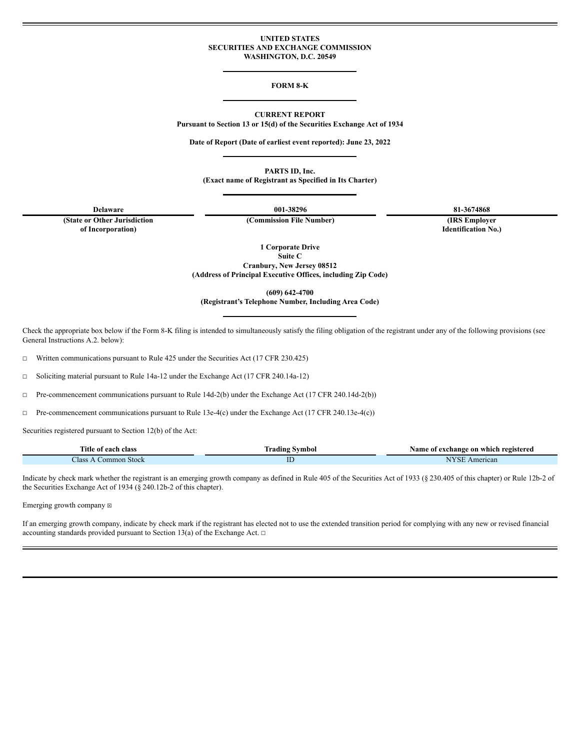### **UNITED STATES SECURITIES AND EXCHANGE COMMISSION WASHINGTON, D.C. 20549**

#### **FORM 8-K**

**CURRENT REPORT**

**Pursuant to Section 13 or 15(d) of the Securities Exchange Act of 1934**

**Date of Report (Date of earliest event reported): June 23, 2022**

**PARTS ID, Inc.**

**(Exact name of Registrant as Specified in Its Charter)**

**(State or Other Jurisdiction of Incorporation)**

**Delaware 001-38296 81-3674868**

**(Commission File Number) (IRS Employer Identification No.)**

**1 Corporate Drive**

**Suite C Cranbury, New Jersey 08512**

**(Address of Principal Executive Offices, including Zip Code)**

**(609) 642-4700**

**(Registrant's Telephone Number, Including Area Code)**

Check the appropriate box below if the Form 8-K filing is intended to simultaneously satisfy the filing obligation of the registrant under any of the following provisions (see General Instructions A.2. below):

☐ Written communications pursuant to Rule 425 under the Securities Act (17 CFR 230.425)

☐ Soliciting material pursuant to Rule 14a-12 under the Exchange Act (17 CFR 240.14a-12)

☐ Pre-commencement communications pursuant to Rule 14d-2(b) under the Exchange Act (17 CFR 240.14d-2(b))

☐ Pre-commencement communications pursuant to Rule 13e-4(c) under the Exchange Act (17 CFR 240.13e-4(c))

Securities registered pursuant to Section 12(b) of the Act:

| rane.<br>l`itle<br>class<br>∙ ot each | rading<br>svmbol | Name of<br>f exchange on which registered |
|---------------------------------------|------------------|-------------------------------------------|
| Aass<br>Common Stock                  | 1D               | TYZOT<br>nerican<br>N                     |

Indicate by check mark whether the registrant is an emerging growth company as defined in Rule 405 of the Securities Act of 1933 (§ 230.405 of this chapter) or Rule 12b-2 of the Securities Exchange Act of 1934 (§ 240.12b-2 of this chapter).

Emerging growth company  $\boxtimes$ 

If an emerging growth company, indicate by check mark if the registrant has elected not to use the extended transition period for complying with any new or revised financial accounting standards provided pursuant to Section 13(a) of the Exchange Act.  $\Box$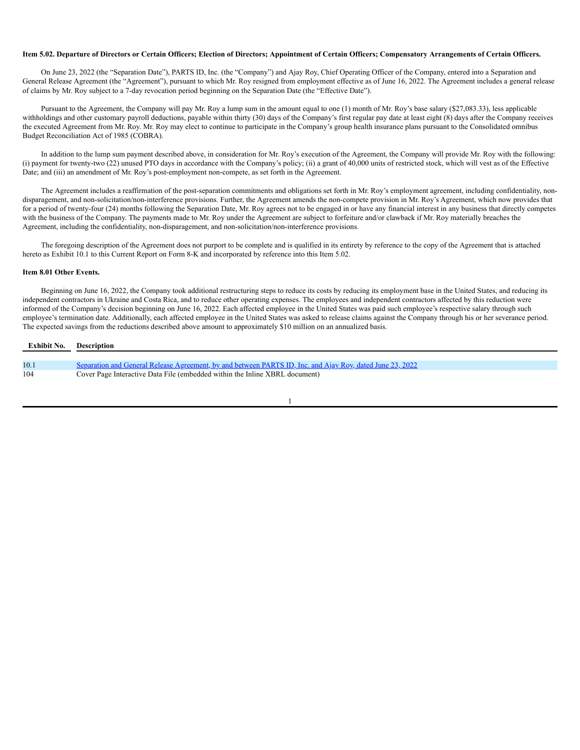#### Item 5.02. Departure of Directors or Certain Officers; Election of Directors; Appointment of Certain Officers; Compensatory Arrangements of Certain Officers.

On June 23, 2022 (the "Separation Date"), PARTS ID, Inc. (the "Company") and Ajay Roy, Chief Operating Officer of the Company, entered into a Separation and General Release Agreement (the "Agreement"), pursuant to which Mr. Roy resigned from employment effective as of June 16, 2022. The Agreement includes a general release of claims by Mr. Roy subject to a 7-day revocation period beginning on the Separation Date (the "Effective Date").

Pursuant to the Agreement, the Company will pay Mr. Roy a lump sum in the amount equal to one (1) month of Mr. Roy's base salary (\$27,083.33), less applicable withholdings and other customary payroll deductions, payable within thirty (30) days of the Company's first regular pay date at least eight (8) days after the Company receives the executed Agreement from Mr. Roy. Mr. Roy may elect to continue to participate in the Company's group health insurance plans pursuant to the Consolidated omnibus Budget Reconciliation Act of 1985 (COBRA).

In addition to the lump sum payment described above, in consideration for Mr. Roy's execution of the Agreement, the Company will provide Mr. Roy with the following: (i) payment for twenty-two (22) unused PTO days in accordance with the Company's policy; (ii) a grant of 40,000 units of restricted stock, which will vest as of the Effective Date; and (iii) an amendment of Mr. Roy's post-employment non-compete, as set forth in the Agreement.

The Agreement includes a reaffirmation of the post-separation commitments and obligations set forth in Mr. Roy's employment agreement, including confidentiality, nondisparagement, and non-solicitation/non-interference provisions. Further, the Agreement amends the non-compete provision in Mr. Roy's Agreement, which now provides that for a period of twenty-four (24) months following the Separation Date, Mr. Roy agrees not to be engaged in or have any financial interest in any business that directly competes with the business of the Company. The payments made to Mr. Roy under the Agreement are subject to forfeiture and/or clawback if Mr. Roy materially breaches the Agreement, including the confidentiality, non-disparagement, and non-solicitation/non-interference provisions.

The foregoing description of the Agreement does not purport to be complete and is qualified in its entirety by reference to the copy of the Agreement that is attached hereto as Exhibit 10.1 to this Current Report on Form 8-K and incorporated by reference into this Item 5.02.

### **Item 8.01 Other Events.**

Beginning on June 16, 2022, the Company took additional restructuring steps to reduce its costs by reducing its employment base in the United States, and reducing its independent contractors in Ukraine and Costa Rica, and to reduce other operating expenses. The employees and independent contractors affected by this reduction were informed of the Company's decision beginning on June 16, 2022. Each affected employee in the United States was paid such employee's respective salary through such employee's termination date. Additionally, each affected employee in the United States was asked to release claims against the Company through his or her severance period. The expected savings from the reductions described above amount to approximately \$10 million on an annualized basis.

| Exhibit No. | Description                                                                                               |
|-------------|-----------------------------------------------------------------------------------------------------------|
|             |                                                                                                           |
| 10.1        | Separation and General Release Agreement, by and between PARTS ID, Inc. and Ajay Roy, dated June 23, 2022 |
| 104         | Cover Page Interactive Data File (embedded within the Inline XBRL document)                               |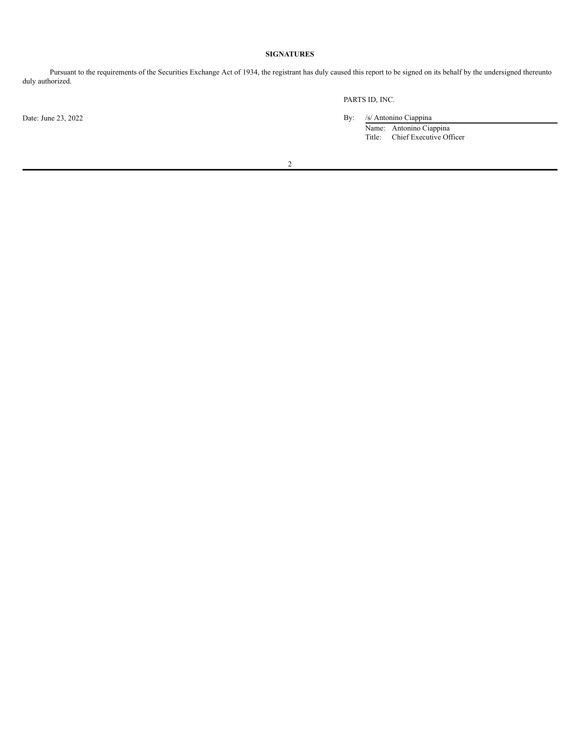# **SIGNATURES**

Pursuant to the requirements of the Securities Exchange Act of 1934, the registrant has duly caused this report to be signed on its behalf by the undersigned thereunto duly authorized.

PARTS ID, INC.

Date: June 23, 2022 By: /s/ Antonino Ciappina

Name: Antonino Ciappina Title: Chief Executive Officer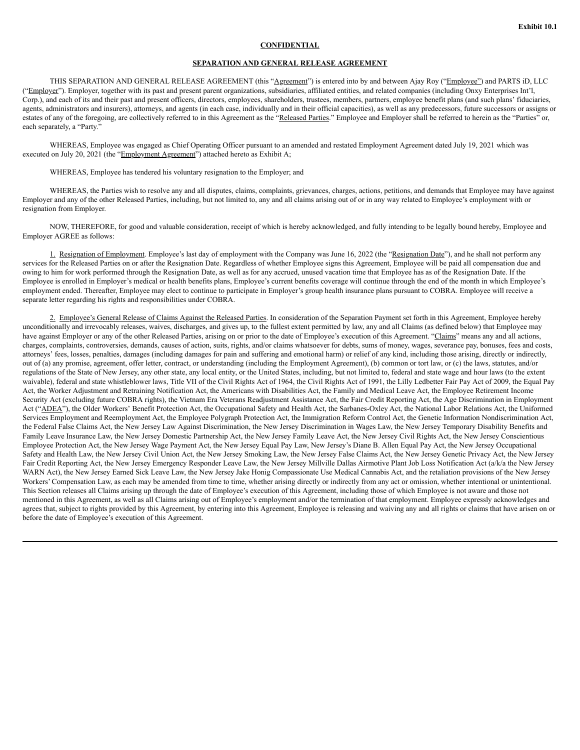### **CONFIDENTIAL**

## **SEPARATION AND GENERAL RELEASE AGREEMENT**

THIS SEPARATION AND GENERAL RELEASE AGREEMENT (this "Agreement") is entered into by and between Ajay Roy ("Employee") and PARTS iD, LLC ("Employer"). Employer, together with its past and present parent organizations, subsidiaries, affiliated entities, and related companies (including Onxy Enterprises Int'l, Corp.), and each of its and their past and present officers, directors, employees, shareholders, trustees, members, partners, employee benefit plans (and such plans' fiduciaries, agents, administrators and insurers), attorneys, and agents (in each case, individually and in their official capacities), as well as any predecessors, future successors or assigns or estates of any of the foregoing, are collectively referred to in this Agreement as the "Released Parties." Employee and Employer shall be referred to herein as the "Parties" or, each separately, a "Party."

WHEREAS, Employee was engaged as Chief Operating Officer pursuant to an amended and restated Employment Agreement dated July 19, 2021 which was executed on July 20, 2021 (the "Employment Agreement") attached hereto as Exhibit A;

WHEREAS, Employee has tendered his voluntary resignation to the Employer; and

WHEREAS, the Parties wish to resolve any and all disputes, claims, complaints, grievances, charges, actions, petitions, and demands that Employee may have against Employer and any of the other Released Parties, including, but not limited to, any and all claims arising out of or in any way related to Employee's employment with or resignation from Employer.

NOW, THEREFORE, for good and valuable consideration, receipt of which is hereby acknowledged, and fully intending to be legally bound hereby, Employee and Employer AGREE as follows:

1. Resignation of Employment. Employee's last day of employment with the Company was June 16, 2022 (the "Resignation Date"), and he shall not perform any services for the Released Parties on or after the Resignation Date. Regardless of whether Employee signs this Agreement, Employee will be paid all compensation due and owing to him for work performed through the Resignation Date, as well as for any accrued, unused vacation time that Employee has as of the Resignation Date. If the Employee is enrolled in Employer's medical or health benefits plans, Employee's current benefits coverage will continue through the end of the month in which Employee's employment ended. Thereafter, Employee may elect to continue to participate in Employer's group health insurance plans pursuant to COBRA. Employee will receive a separate letter regarding his rights and responsibilities under COBRA.

2. Employee's General Release of Claims Against the Released Parties. In consideration of the Separation Payment set forth in this Agreement, Employee hereby unconditionally and irrevocably releases, waives, discharges, and gives up, to the fullest extent permitted by law, any and all Claims (as defined below) that Employee may have against Employer or any of the other Released Parties, arising on or prior to the date of Employee's execution of this Agreement. "Claims" means any and all actions, charges, complaints, controversies, demands, causes of action, suits, rights, and/or claims whatsoever for debts, sums of money, wages, severance pay, bonuses, fees and costs, attorneys' fees, losses, penalties, damages (including damages for pain and suffering and emotional harm) or relief of any kind, including those arising, directly or indirectly, out of (a) any promise, agreement, offer letter, contract, or understanding (including the Employment Agreement), (b) common or tort law, or (c) the laws, statutes, and/or regulations of the State of New Jersey, any other state, any local entity, or the United States, including, but not limited to, federal and state wage and hour laws (to the extent waivable), federal and state whistleblower laws, Title VII of the Civil Rights Act of 1964, the Civil Rights Act of 1991, the Lilly Ledbetter Fair Pay Act of 2009, the Equal Pay Act, the Worker Adjustment and Retraining Notification Act, the Americans with Disabilities Act, the Family and Medical Leave Act, the Employee Retirement Income Security Act (excluding future COBRA rights), the Vietnam Era Veterans Readjustment Assistance Act, the Fair Credit Reporting Act, the Age Discrimination in Employment Act ("ADEA"), the Older Workers' Benefit Protection Act, the Occupational Safety and Health Act, the Sarbanes-Oxley Act, the National Labor Relations Act, the Uniformed Services Employment and Reemployment Act, the Employee Polygraph Protection Act, the Immigration Reform Control Act, the Genetic Information Nondiscrimination Act, the Federal False Claims Act, the New Jersey Law Against Discrimination, the New Jersey Discrimination in Wages Law, the New Jersey Temporary Disability Benefits and Family Leave Insurance Law, the New Jersey Domestic Partnership Act, the New Jersey Family Leave Act, the New Jersey Civil Rights Act, the New Jersey Conscientious Employee Protection Act, the New Jersey Wage Payment Act, the New Jersey Equal Pay Law, New Jersey's Diane B. Allen Equal Pay Act, the New Jersey Occupational Safety and Health Law, the New Jersey Civil Union Act, the New Jersey Smoking Law, the New Jersey False Claims Act, the New Jersey Genetic Privacy Act, the New Jersey Fair Credit Reporting Act, the New Jersey Emergency Responder Leave Law, the New Jersey Millville Dallas Airmotive Plant Job Loss Notification Act (a/k/a the New Jersey WARN Act), the New Jersey Earned Sick Leave Law, the New Jersey Jake Honig Compassionate Use Medical Cannabis Act, and the retaliation provisions of the New Jersey Workers' Compensation Law, as each may be amended from time to time, whether arising directly or indirectly from any act or omission, whether intentional or unintentional. This Section releases all Claims arising up through the date of Employee's execution of this Agreement, including those of which Employee is not aware and those not mentioned in this Agreement, as well as all Claims arising out of Employee's employment and/or the termination of that employment. Employee expressly acknowledges and agrees that, subject to rights provided by this Agreement, by entering into this Agreement, Employee is releasing and waiving any and all rights or claims that have arisen on or before the date of Employee's execution of this Agreement.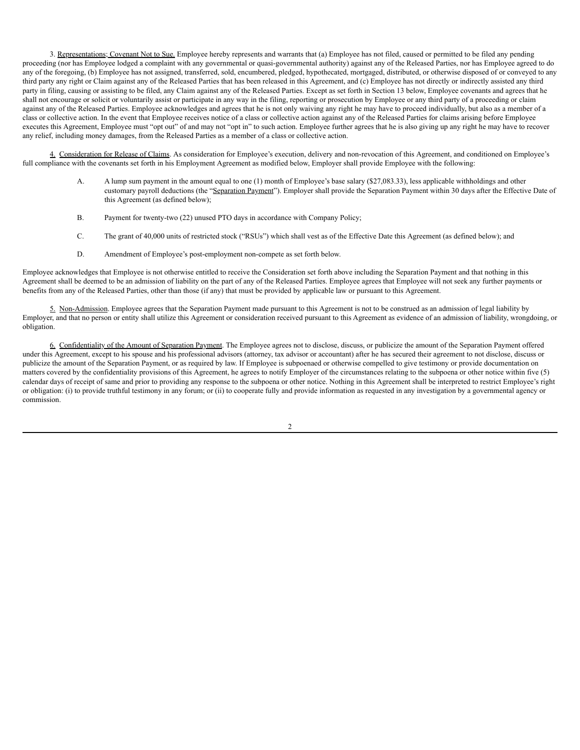3. Representations; Covenant Not to Sue. Employee hereby represents and warrants that (a) Employee has not filed, caused or permitted to be filed any pending proceeding (nor has Employee lodged a complaint with any governmental or quasi-governmental authority) against any of the Released Parties, nor has Employee agreed to do any of the foregoing, (b) Employee has not assigned, transferred, sold, encumbered, pledged, hypothecated, mortgaged, distributed, or otherwise disposed of or conveyed to any third party any right or Claim against any of the Released Parties that has been released in this Agreement, and (c) Employee has not directly or indirectly assisted any third party in filing, causing or assisting to be filed, any Claim against any of the Released Parties. Except as set forth in Section 13 below, Employee covenants and agrees that he shall not encourage or solicit or voluntarily assist or participate in any way in the filing, reporting or prosecution by Employee or any third party of a proceeding or claim against any of the Released Parties. Employee acknowledges and agrees that he is not only waiving any right he may have to proceed individually, but also as a member of a class or collective action. In the event that Employee receives notice of a class or collective action against any of the Released Parties for claims arising before Employee executes this Agreement, Employee must "opt out" of and may not "opt in" to such action. Employee further agrees that he is also giving up any right he may have to recover any relief, including money damages, from the Released Parties as a member of a class or collective action.

4. Consideration for Release of Claims. As consideration for Employee's execution, delivery and non-revocation of this Agreement, and conditioned on Employee's full compliance with the covenants set forth in his Employment Agreement as modified below, Employer shall provide Employee with the following:

- A. A lump sum payment in the amount equal to one (1) month of Employee's base salary (\$27,083.33), less applicable withholdings and other customary payroll deductions (the "Separation Payment"). Employer shall provide the Separation Payment within 30 days after the Effective Date of this Agreement (as defined below);
- B. Payment for twenty-two (22) unused PTO days in accordance with Company Policy;
- C. The grant of 40,000 units of restricted stock ("RSUs") which shall vest as of the Effective Date this Agreement (as defined below); and
- D. Amendment of Employee's post-employment non-compete as set forth below.

Employee acknowledges that Employee is not otherwise entitled to receive the Consideration set forth above including the Separation Payment and that nothing in this Agreement shall be deemed to be an admission of liability on the part of any of the Released Parties. Employee agrees that Employee will not seek any further payments or benefits from any of the Released Parties, other than those (if any) that must be provided by applicable law or pursuant to this Agreement.

5. Non-Admission. Employee agrees that the Separation Payment made pursuant to this Agreement is not to be construed as an admission of legal liability by Employer, and that no person or entity shall utilize this Agreement or consideration received pursuant to this Agreement as evidence of an admission of liability, wrongdoing, or obligation.

6. Confidentiality of the Amount of Separation Payment. The Employee agrees not to disclose, discuss, or publicize the amount of the Separation Payment offered under this Agreement, except to his spouse and his professional advisors (attorney, tax advisor or accountant) after he has secured their agreement to not disclose, discuss or publicize the amount of the Separation Payment, or as required by law. If Employee is subpoenaed or otherwise compelled to give testimony or provide documentation on matters covered by the confidentiality provisions of this Agreement, he agrees to notify Employer of the circumstances relating to the subpoena or other notice within five (5) calendar days of receipt of same and prior to providing any response to the subpoena or other notice. Nothing in this Agreement shall be interpreted to restrict Employee's right or obligation: (i) to provide truthful testimony in any forum; or (ii) to cooperate fully and provide information as requested in any investigation by a governmental agency or commission.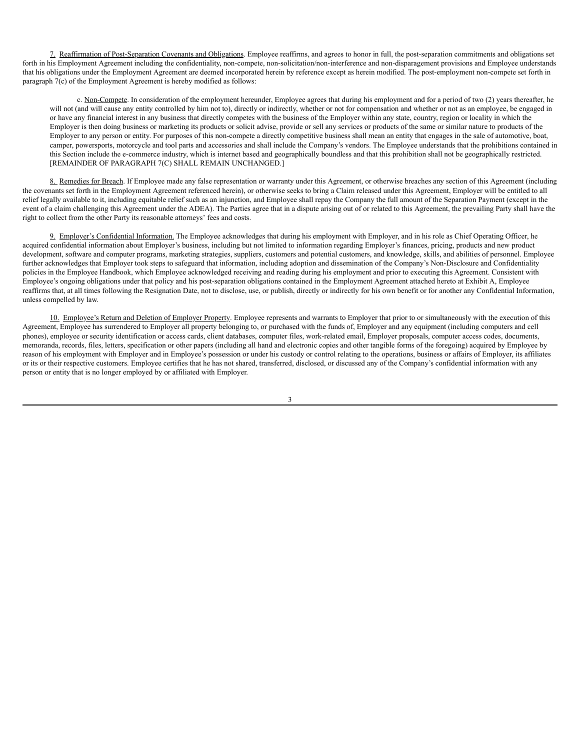7. Reaffirmation of Post-Separation Covenants and Obligations. Employee reaffirms, and agrees to honor in full, the post-separation commitments and obligations set forth in his Employment Agreement including the confidentiality, non-compete, non-solicitation/non-interference and non-disparagement provisions and Employee understands that his obligations under the Employment Agreement are deemed incorporated herein by reference except as herein modified. The post-employment non-compete set forth in paragraph 7(c) of the Employment Agreement is hereby modified as follows:

c. Non-Compete. In consideration of the employment hereunder, Employee agrees that during his employment and for a period of two (2) years thereafter, he will not (and will cause any entity controlled by him not to), directly or indirectly, whether or not for compensation and whether or not as an employee, be engaged in or have any financial interest in any business that directly competes with the business of the Employer within any state, country, region or locality in which the Employer is then doing business or marketing its products or solicit advise, provide or sell any services or products of the same or similar nature to products of the Employer to any person or entity. For purposes of this non-compete a directly competitive business shall mean an entity that engages in the sale of automotive, boat, camper, powersports, motorcycle and tool parts and accessories and shall include the Company's vendors. The Employee understands that the prohibitions contained in this Section include the e-commerce industry, which is internet based and geographically boundless and that this prohibition shall not be geographically restricted. [REMAINDER OF PARAGRAPH 7(C) SHALL REMAIN UNCHANGED.]

8. Remedies for Breach. If Employee made any false representation or warranty under this Agreement, or otherwise breaches any section of this Agreement (including the covenants set forth in the Employment Agreement referenced herein), or otherwise seeks to bring a Claim released under this Agreement, Employer will be entitled to all relief legally available to it, including equitable relief such as an injunction, and Employee shall repay the Company the full amount of the Separation Payment (except in the event of a claim challenging this Agreement under the ADEA). The Parties agree that in a dispute arising out of or related to this Agreement, the prevailing Party shall have the right to collect from the other Party its reasonable attorneys' fees and costs.

9. Employer's Confidential Information. The Employee acknowledges that during his employment with Employer, and in his role as Chief Operating Officer, he acquired confidential information about Employer's business, including but not limited to information regarding Employer's finances, pricing, products and new product development, software and computer programs, marketing strategies, suppliers, customers and potential customers, and knowledge, skills, and abilities of personnel. Employee further acknowledges that Employer took steps to safeguard that information, including adoption and dissemination of the Company's Non-Disclosure and Confidentiality policies in the Employee Handbook, which Employee acknowledged receiving and reading during his employment and prior to executing this Agreement. Consistent with Employee's ongoing obligations under that policy and his post-separation obligations contained in the Employment Agreement attached hereto at Exhibit A, Employee reaffirms that, at all times following the Resignation Date, not to disclose, use, or publish, directly or indirectly for his own benefit or for another any Confidential Information, unless compelled by law.

10. Employee's Return and Deletion of Employer Property. Employee represents and warrants to Employer that prior to or simultaneously with the execution of this Agreement, Employee has surrendered to Employer all property belonging to, or purchased with the funds of, Employer and any equipment (including computers and cell phones), employee or security identification or access cards, client databases, computer files, work-related email, Employer proposals, computer access codes, documents, memoranda, records, files, letters, specification or other papers (including all hand and electronic copies and other tangible forms of the foregoing) acquired by Employee by reason of his employment with Employer and in Employee's possession or under his custody or control relating to the operations, business or affairs of Employer, its affiliates or its or their respective customers. Employee certifies that he has not shared, transferred, disclosed, or discussed any of the Company's confidential information with any person or entity that is no longer employed by or affiliated with Employer.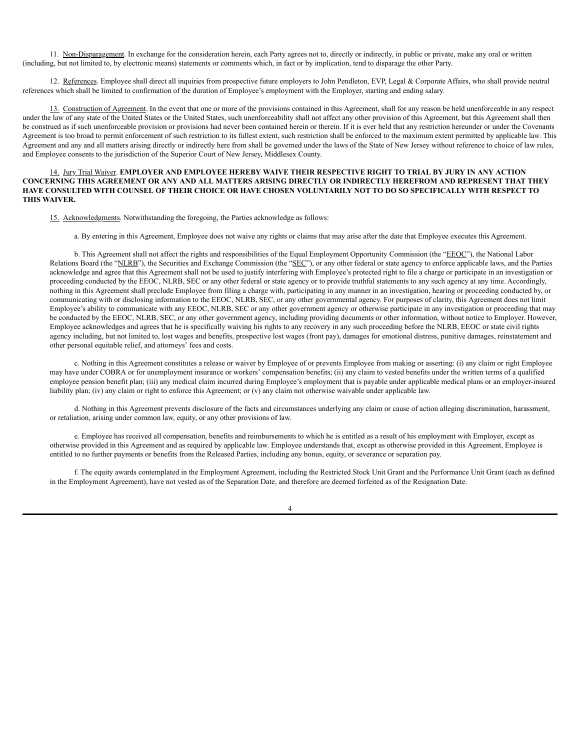11. Non-Disparagement. In exchange for the consideration herein, each Party agrees not to, directly or indirectly, in public or private, make any oral or written (including, but not limited to, by electronic means) statements or comments which, in fact or by implication, tend to disparage the other Party.

12. References. Employee shall direct all inquiries from prospective future employers to John Pendleton, EVP, Legal & Corporate Affairs, who shall provide neutral references which shall be limited to confirmation of the duration of Employee's employment with the Employer, starting and ending salary.

13. Construction of Agreement. In the event that one or more of the provisions contained in this Agreement, shall for any reason be held unenforceable in any respect under the law of any state of the United States or the United States, such unenforceability shall not affect any other provision of this Agreement, but this Agreement shall then be construed as if such unenforceable provision or provisions had never been contained herein or therein. If it is ever held that any restriction hereunder or under the Covenants Agreement is too broad to permit enforcement of such restriction to its fullest extent, such restriction shall be enforced to the maximum extent permitted by applicable law. This Agreement and any and all matters arising directly or indirectly here from shall be governed under the laws of the State of New Jersey without reference to choice of law rules, and Employee consents to the jurisdiction of the Superior Court of New Jersey, Middlesex County.

### 14. Jury Trial Waiver. **EMPLOYER AND EMPLOYEE HEREBY WAIVE THEIR RESPECTIVE RIGHT TO TRIAL BY JURY IN ANY ACTION** CONCERNING THIS AGREEMENT OR ANY AND ALL MATTERS ARISING DIRECTLY OR INDIRECTLY HEREFROM AND REPRESENT THAT THEY HAVE CONSULTED WITH COUNSEL OF THEIR CHOICE OR HAVE CHOSEN VOLUNTARILY NOT TO DO SO SPECIFICALLY WITH RESPECT TO **THIS WAIVER.**

15. Acknowledgments. Notwithstanding the foregoing, the Parties acknowledge as follows:

a. By entering in this Agreement, Employee does not waive any rights or claims that may arise after the date that Employee executes this Agreement.

b. This Agreement shall not affect the rights and responsibilities of the Equal Employment Opportunity Commission (the "EEOC"), the National Labor Relations Board (the "NLRB"), the Securities and Exchange Commission (the "SEC"), or any other federal or state agency to enforce applicable laws, and the Parties acknowledge and agree that this Agreement shall not be used to justify interfering with Employee's protected right to file a charge or participate in an investigation or proceeding conducted by the EEOC, NLRB, SEC or any other federal or state agency or to provide truthful statements to any such agency at any time. Accordingly, nothing in this Agreement shall preclude Employee from filing a charge with, participating in any manner in an investigation, hearing or proceeding conducted by, or communicating with or disclosing information to the EEOC, NLRB, SEC, or any other governmental agency. For purposes of clarity, this Agreement does not limit Employee's ability to communicate with any EEOC, NLRB, SEC or any other government agency or otherwise participate in any investigation or proceeding that may be conducted by the EEOC, NLRB, SEC, or any other government agency, including providing documents or other information, without notice to Employer. However, Employee acknowledges and agrees that he is specifically waiving his rights to any recovery in any such proceeding before the NLRB, EEOC or state civil rights agency including, but not limited to, lost wages and benefits, prospective lost wages (front pay), damages for emotional distress, punitive damages, reinstatement and other personal equitable relief, and attorneys' fees and costs.

c. Nothing in this Agreement constitutes a release or waiver by Employee of or prevents Employee from making or asserting: (i) any claim or right Employee may have under COBRA or for unemployment insurance or workers' compensation benefits; (ii) any claim to vested benefits under the written terms of a qualified employee pension benefit plan; (iii) any medical claim incurred during Employee's employment that is payable under applicable medical plans or an employer-insured liability plan; (iv) any claim or right to enforce this Agreement; or (v) any claim not otherwise waivable under applicable law.

d. Nothing in this Agreement prevents disclosure of the facts and circumstances underlying any claim or cause of action alleging discrimination, harassment, or retaliation, arising under common law, equity, or any other provisions of law.

e. Employee has received all compensation, benefits and reimbursements to which he is entitled as a result of his employment with Employer, except as otherwise provided in this Agreement and as required by applicable law. Employee understands that, except as otherwise provided in this Agreement, Employee is entitled to no further payments or benefits from the Released Parties, including any bonus, equity, or severance or separation pay.

f. The equity awards contemplated in the Employment Agreement, including the Restricted Stock Unit Grant and the Performance Unit Grant (each as defined in the Employment Agreement), have not vested as of the Separation Date, and therefore are deemed forfeited as of the Resignation Date.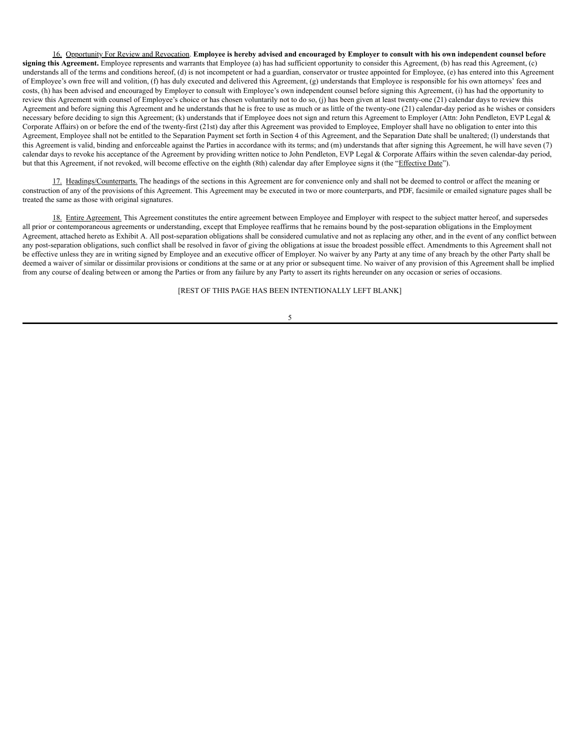16. Opportunity For Review and Revocation. Employee is hereby advised and encouraged by Employer to consult with his own independent counsel before **signing this Agreement.** Employee represents and warrants that Employee (a) has had sufficient opportunity to consider this Agreement, (b) has read this Agreement, (c) understands all of the terms and conditions hereof, (d) is not incompetent or had a guardian, conservator or trustee appointed for Employee, (e) has entered into this Agreement of Employee's own free will and volition, (f) has duly executed and delivered this Agreement, (g) understands that Employee is responsible for his own attorneys' fees and costs, (h) has been advised and encouraged by Employer to consult with Employee's own independent counsel before signing this Agreement, (i) has had the opportunity to review this Agreement with counsel of Employee's choice or has chosen voluntarily not to do so, (j) has been given at least twenty-one (21) calendar days to review this Agreement and before signing this Agreement and he understands that he is free to use as much or as little of the twenty-one (21) calendar-day period as he wishes or considers necessary before deciding to sign this Agreement; (k) understands that if Employee does not sign and return this Agreement to Employer (Attn: John Pendleton, EVP Legal  $\&$ Corporate Affairs) on or before the end of the twenty-first (21st) day after this Agreement was provided to Employee, Employer shall have no obligation to enter into this Agreement, Employee shall not be entitled to the Separation Payment set forth in Section 4 of this Agreement, and the Separation Date shall be unaltered; (l) understands that this Agreement is valid, binding and enforceable against the Parties in accordance with its terms; and (m) understands that after signing this Agreement, he will have seven (7) calendar days to revoke his acceptance of the Agreement by providing written notice to John Pendleton, EVP Legal & Corporate Affairs within the seven calendar-day period, but that this Agreement, if not revoked, will become effective on the eighth (8th) calendar day after Employee signs it (the "Effective Date").

17. Headings/Counterparts. The headings of the sections in this Agreement are for convenience only and shall not be deemed to control or affect the meaning or construction of any of the provisions of this Agreement. This Agreement may be executed in two or more counterparts, and PDF, facsimile or emailed signature pages shall be treated the same as those with original signatures.

18. Entire Agreement. This Agreement constitutes the entire agreement between Employee and Employer with respect to the subject matter hereof, and supersedes all prior or contemporaneous agreements or understanding, except that Employee reaffirms that he remains bound by the post-separation obligations in the Employment Agreement, attached hereto as Exhibit A. All post-separation obligations shall be considered cumulative and not as replacing any other, and in the event of any conflict between any post-separation obligations, such conflict shall be resolved in favor of giving the obligations at issue the broadest possible effect. Amendments to this Agreement shall not be effective unless they are in writing signed by Employee and an executive officer of Employer. No waiver by any Party at any time of any breach by the other Party shall be deemed a waiver of similar or dissimilar provisions or conditions at the same or at any prior or subsequent time. No waiver of any provision of this Agreement shall be implied from any course of dealing between or among the Parties or from any failure by any Party to assert its rights hereunder on any occasion or series of occasions.

[REST OF THIS PAGE HAS BEEN INTENTIONALLY LEFT BLANK]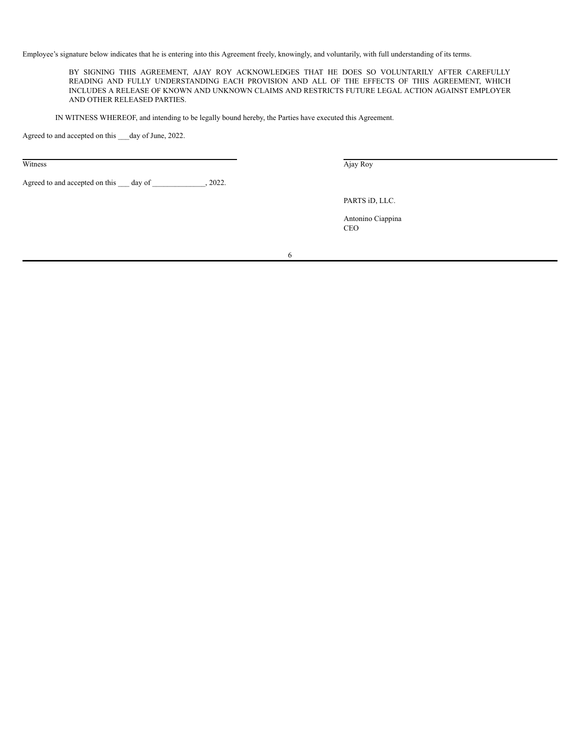Employee's signature below indicates that he is entering into this Agreement freely, knowingly, and voluntarily, with full understanding of its terms.

BY SIGNING THIS AGREEMENT, AJAY ROY ACKNOWLEDGES THAT HE DOES SO VOLUNTARILY AFTER CAREFULLY READING AND FULLY UNDERSTANDING EACH PROVISION AND ALL OF THE EFFECTS OF THIS AGREEMENT, WHICH INCLUDES A RELEASE OF KNOWN AND UNKNOWN CLAIMS AND RESTRICTS FUTURE LEGAL ACTION AGAINST EMPLOYER AND OTHER RELEASED PARTIES.

IN WITNESS WHEREOF, and intending to be legally bound hereby, the Parties have executed this Agreement.

Agreed to and accepted on this \_\_\_day of June, 2022.

Agreed to and accepted on this \_\_\_ day of \_\_\_\_\_\_\_\_\_\_\_\_, 2022.

Witness Ajay Roy

PARTS iD, LLC.

Antonino Ciappina CEO